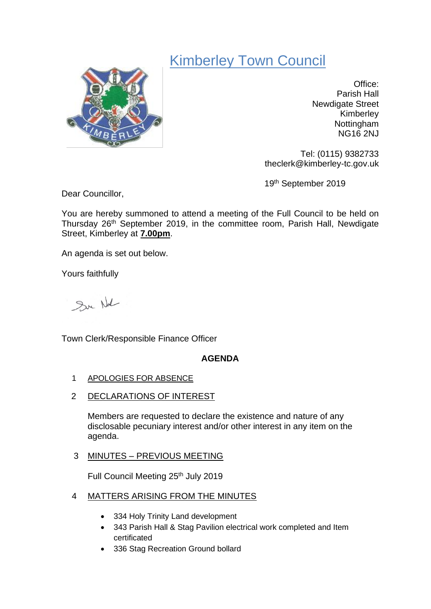# Kimberley Town Council



Office: Parish Hall Newdigate Street Kimberley Nottingham NG16 2NJ

Tel: (0115) 9382733 theclerk@kimberley-tc.gov.uk

19th September 2019

Dear Councillor,

You are hereby summoned to attend a meeting of the Full Council to be held on Thursday 26<sup>th</sup> September 2019, in the committee room, Parish Hall, Newdigate Street, Kimberley at **7.00pm**.

An agenda is set out below.

Yours faithfully

Sur Not

Town Clerk/Responsible Finance Officer

# **AGENDA**

- 1 APOLOGIES FOR ABSENCE
- 2 DECLARATIONS OF INTEREST

Members are requested to declare the existence and nature of any disclosable pecuniary interest and/or other interest in any item on the agenda.

# 3 MINUTES – PREVIOUS MEETING

Full Council Meeting 25<sup>th</sup> July 2019

# 4 MATTERS ARISING FROM THE MINUTES

- 334 Holy Trinity Land development
- 343 Parish Hall & Stag Pavilion electrical work completed and Item certificated
- 336 Stag Recreation Ground bollard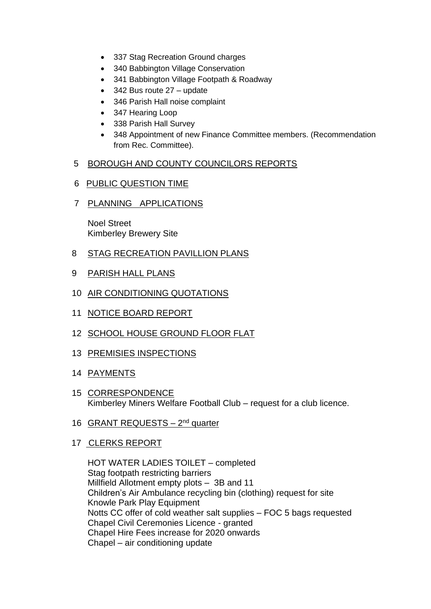- 337 Stag Recreation Ground charges
- 340 Babbington Village Conservation
- 341 Babbington Village Footpath & Roadway
- 342 Bus route 27 update
- 346 Parish Hall noise complaint
- 347 Hearing Loop
- 338 Parish Hall Survey
- 348 Appointment of new Finance Committee members. (Recommendation from Rec. Committee).

#### 5 BOROUGH AND COUNTY COUNCILORS REPORTS

- 6 PUBLIC QUESTION TIME
- 7 PLANNING APPLICATIONS

Noel Street Kimberley Brewery Site

- 8 STAG RECREATION PAVILLION PLANS
- 9 PARISH HALL PLANS
- 10 AIR CONDITIONING QUOTATIONS
- 11 NOTICE BOARD REPORT
- 12 SCHOOL HOUSE GROUND FLOOR FLAT
- 13 PREMISIES INSPECTIONS
- 14 PAYMENTS
- 15 CORRESPONDENCE Kimberley Miners Welfare Football Club – request for a club licence.
- 16 GRANT REQUESTS 2<sup>nd</sup> quarter
- 17 CLERKS REPORT

HOT WATER LADIES TOILET – completed Stag footpath restricting barriers Millfield Allotment empty plots – 3B and 11 Children's Air Ambulance recycling bin (clothing) request for site Knowle Park Play Equipment Notts CC offer of cold weather salt supplies – FOC 5 bags requested Chapel Civil Ceremonies Licence - granted Chapel Hire Fees increase for 2020 onwards Chapel – air conditioning update